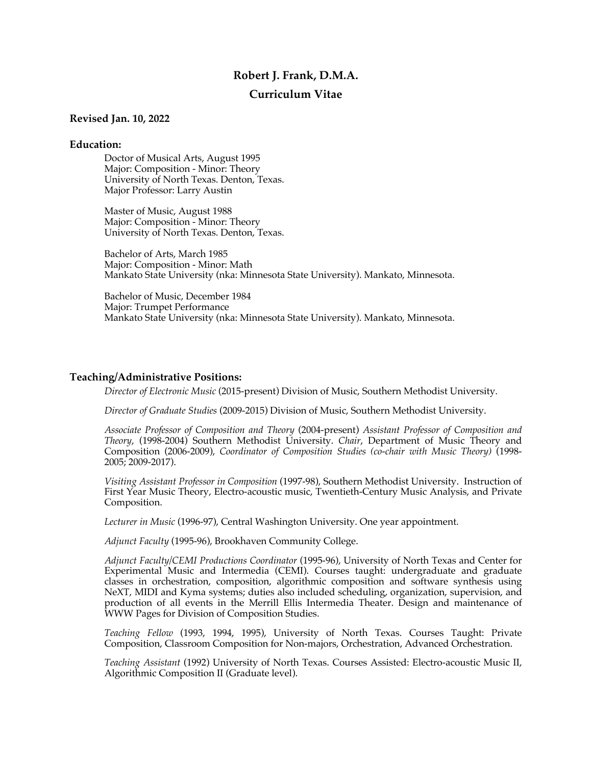# **Robert J. Frank, D.M.A.**

# **Curriculum Vitae**

## **Revised Jan. 10, 2022**

## **Education:**

Doctor of Musical Arts, August 1995 Major: Composition - Minor: Theory University of North Texas. Denton, Texas. Major Professor: Larry Austin

Master of Music, August 1988 Major: Composition - Minor: Theory University of North Texas. Denton, Texas.

Bachelor of Arts, March 1985 Major: Composition - Minor: Math Mankato State University (nka: Minnesota State University). Mankato, Minnesota.

Bachelor of Music, December 1984 Major: Trumpet Performance Mankato State University (nka: Minnesota State University). Mankato, Minnesota.

# **Teaching/Administrative Positions:**

*Director of Electronic Music* (2015-present) Division of Music, Southern Methodist University.

*Director of Graduate Studies* (2009-2015) Division of Music, Southern Methodist University.

*Associate Professor of Composition and Theory* (2004-present) *Assistant Professor of Composition and Theory*, (1998-2004) Southern Methodist University. *Chair*, Department of Music Theory and Composition (2006-2009), *Coordinator of Composition Studies (co-chair with Music Theory)* (1998- 2005; 2009-2017).

*Visiting Assistant Professor in Composition* (1997-98), Southern Methodist University. Instruction of First Year Music Theory, Electro-acoustic music, Twentieth-Century Music Analysis, and Private Composition.

*Lecturer in Music* (1996-97), Central Washington University. One year appointment.

*Adjunct Faculty* (1995-96), Brookhaven Community College.

*Adjunct Faculty/CEMI Productions Coordinator* (1995-96), University of North Texas and Center for Experimental Music and Intermedia (CEMI). Courses taught: undergraduate and graduate classes in orchestration, composition, algorithmic composition and software synthesis using NeXT, MIDI and Kyma systems; duties also included scheduling, organization, supervision, and production of all events in the Merrill Ellis Intermedia Theater. Design and maintenance of WWW Pages for Division of Composition Studies.

*Teaching Fellow* (1993, 1994, 1995), University of North Texas. Courses Taught: Private Composition, Classroom Composition for Non-majors, Orchestration, Advanced Orchestration.

*Teaching Assistant* (1992) University of North Texas. Courses Assisted: Electro-acoustic Music II, Algorithmic Composition II (Graduate level).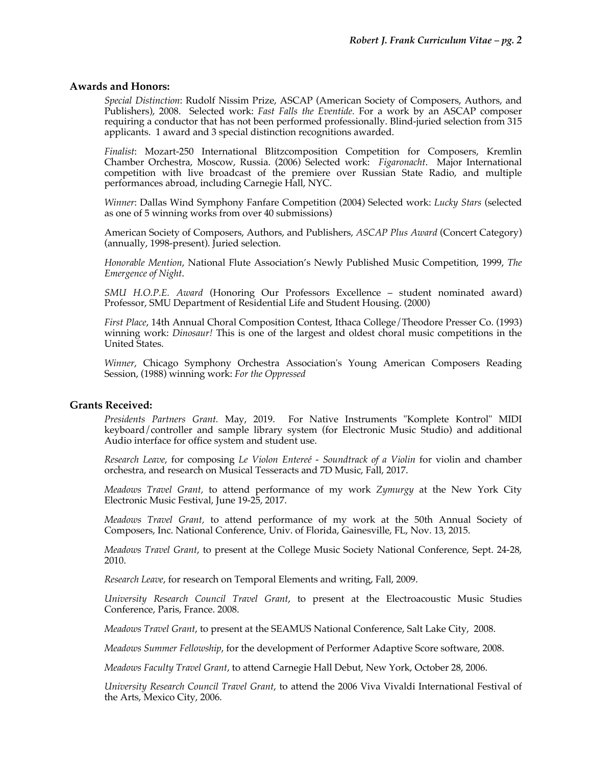## **Awards and Honors:**

*Special Distinction*: Rudolf Nissim Prize, ASCAP (American Society of Composers, Authors, and Publishers), 2008. Selected work: *Fast Falls the Eventide.* For a work by an ASCAP composer requiring a conductor that has not been performed professionally. Blind-juried selection from 315 applicants. 1 award and 3 special distinction recognitions awarded.

*Finalist*: Mozart-250 International Blitzcomposition Competition for Composers, Kremlin Chamber Orchestra, Moscow, Russia. (2006) Selected work: *Figaronacht*. Major International competition with live broadcast of the premiere over Russian State Radio, and multiple performances abroad, including Carnegie Hall, NYC.

*Winner*: Dallas Wind Symphony Fanfare Competition (2004) Selected work: *Lucky Stars* (selected as one of 5 winning works from over 40 submissions)

American Society of Composers, Authors, and Publishers, *ASCAP Plus Award* (Concert Category) (annually, 1998-present). Juried selection.

*Honorable Mention*, National Flute Association's Newly Published Music Competition, 1999, *The Emergence of Night*.

*SMU H.O.P.E. Award* (Honoring Our Professors Excellence – student nominated award) Professor, SMU Department of Residential Life and Student Housing. (2000)

*First Place*, 14th Annual Choral Composition Contest, Ithaca College/Theodore Presser Co. (1993) winning work: *Dinosaur!* This is one of the largest and oldest choral music competitions in the United States.

*Winner*, Chicago Symphony Orchestra Association's Young American Composers Reading Session, (1988) winning work: *For the Oppressed*

### **Grants Received:**

*Presidents Partners Grant.* May, 2019. For Native Instruments "Komplete Kontrol" MIDI keyboard/controller and sample library system (for Electronic Music Studio) and additional Audio interface for office system and student use.

*Research Leave*, for composing *Le Violon Entereé - Soundtrack of a Violin* for violin and chamber orchestra, and research on Musical Tesseracts and 7D Music, Fall, 2017.

*Meadows Travel Grant,* to attend performance of my work *Zymurgy* at the New York City Electronic Music Festival, June 19-25, 2017.

*Meadows Travel Grant,* to attend performance of my work at the 50th Annual Society of Composers, Inc. National Conference, Univ. of Florida, Gainesville, FL, Nov. 13, 2015.

*Meadows Travel Grant*, to present at the College Music Society National Conference, Sept. 24-28, 2010.

*Research Leave*, for research on Temporal Elements and writing, Fall, 2009.

*University Research Council Travel Grant*, to present at the Electroacoustic Music Studies Conference, Paris, France. 2008.

*Meadows Travel Grant*, to present at the SEAMUS National Conference, Salt Lake City, 2008.

*Meadows Summer Fellowship*, for the development of Performer Adaptive Score software, 2008.

*Meadows Faculty Travel Grant*, to attend Carnegie Hall Debut, New York, October 28, 2006.

*University Research Council Travel Grant*, to attend the 2006 Viva Vivaldi International Festival of the Arts, Mexico City, 2006.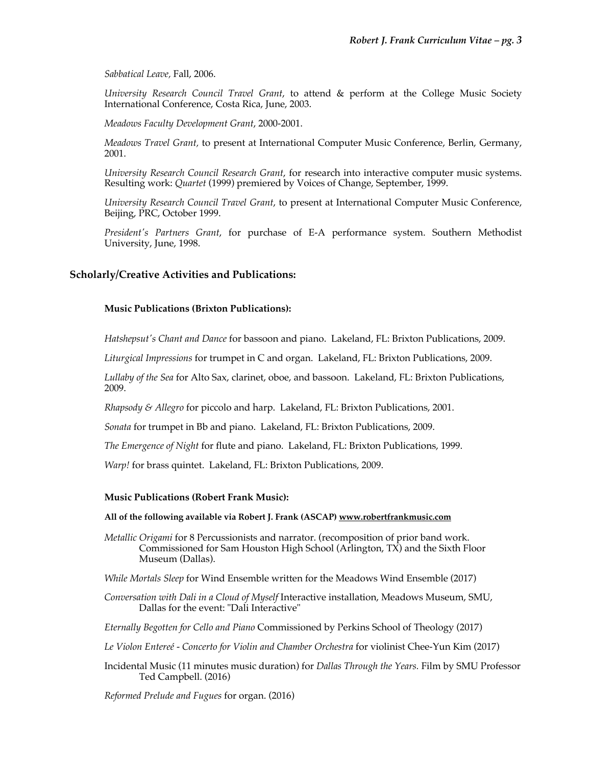*Sabbatical Leave,* Fall, 2006.

*University Research Council Travel Grant*, to attend & perform at the College Music Society International Conference, Costa Rica, June, 2003.

*Meadows Faculty Development Grant*, 2000-2001.

*Meadows Travel Grant,* to present at International Computer Music Conference, Berlin, Germany, 2001.

*University Research Council Research Grant*, for research into interactive computer music systems. Resulting work: *Quartet* (1999) premiered by Voices of Change, September, 1999.

*University Research Council Travel Grant*, to present at International Computer Music Conference, Beijing, PRC, October 1999.

*President's Partners Grant*, for purchase of E-A performance system. Southern Methodist University, June, 1998.

## **Scholarly/Creative Activities and Publications:**

## **Music Publications (Brixton Publications):**

*Hatshepsut's Chant and Dance* for bassoon and piano. Lakeland, FL: Brixton Publications, 2009.

*Liturgical Impressions* for trumpet in C and organ. Lakeland, FL: Brixton Publications, 2009.

*Lullaby of the Sea* for Alto Sax, clarinet, oboe, and bassoon. Lakeland, FL: Brixton Publications, 2009.

*Rhapsody & Allegro* for piccolo and harp. Lakeland, FL: Brixton Publications, 2001.

*Sonata* for trumpet in Bb and piano. Lakeland, FL: Brixton Publications, 2009.

*The Emergence of Night* for flute and piano. Lakeland, FL: Brixton Publications, 1999.

*Warp!* for brass quintet. Lakeland, FL: Brixton Publications, 2009.

### **Music Publications (Robert Frank Music):**

#### **All of the following available via Robert J. Frank (ASCAP) www.robertfrankmusic.com**

- *Metallic Origami* for 8 Percussionists and narrator. (recomposition of prior band work. Commissioned for Sam Houston High School (Arlington, TX) and the Sixth Floor Museum (Dallas).
- *While Mortals Sleep* for Wind Ensemble written for the Meadows Wind Ensemble (2017)
- *Conversation with Dali in a Cloud of Myself* Interactive installation, Meadows Museum, SMU, Dallas for the event: "Dali Interactive"

*Eternally Begotten for Cello and Piano* Commissioned by Perkins School of Theology (2017)

- *Le Violon Entereé - Concerto for Violin and Chamber Orchestra* for violinist Chee-Yun Kim (2017)
- Incidental Music (11 minutes music duration) for *Dallas Through the Years.* Film by SMU Professor Ted Campbell. (2016)

*Reformed Prelude and Fugues* for organ. (2016)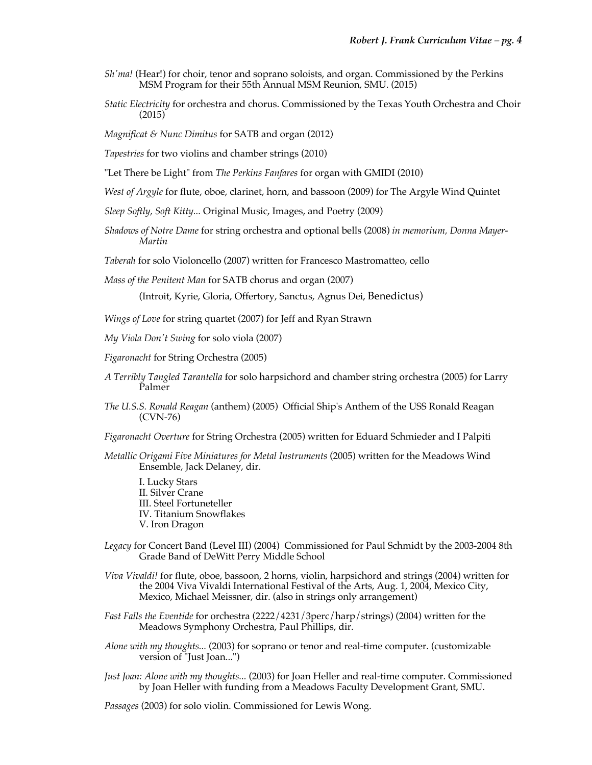- *Sh'ma!* (Hear!) for choir, tenor and soprano soloists, and organ. Commissioned by the Perkins MSM Program for their 55th Annual MSM Reunion, SMU. (2015)
- *Static Electricity* for orchestra and chorus. Commissioned by the Texas Youth Orchestra and Choir (2015)

*Magnificat & Nunc Dimitus* for SATB and organ (2012)

*Tapestries* for two violins and chamber strings (2010)

"Let There be Light" from *The Perkins Fanfares* for organ with GMIDI (2010)

- *West of Argyle* for flute, oboe, clarinet, horn, and bassoon (2009) for The Argyle Wind Quintet
- *Sleep Softly, Soft Kitty...* Original Music, Images, and Poetry (2009)
- *Shadows of Notre Dame* for string orchestra and optional bells (2008) *in memorium, Donna Mayer-Martin*

*Taberah* for solo Violoncello (2007) written for Francesco Mastromatteo, cello

*Mass of the Penitent Man* for SATB chorus and organ (2007)

(Introit, Kyrie, Gloria, Offertory, Sanctus, Agnus Dei, Benedictus)

*Wings of Love* for string quartet (2007) for Jeff and Ryan Strawn

*My Viola Don't Swing* for solo viola (2007)

- *Figaronacht* for String Orchestra (2005)
- *A Terribly Tangled Tarantella* for solo harpsichord and chamber string orchestra (2005) for Larry Palmer
- *The U.S.S. Ronald Reagan* (anthem) (2005) Official Ship's Anthem of the USS Ronald Reagan (CVN-76)
- *Figaronacht Overture* for String Orchestra (2005) written for Eduard Schmieder and I Palpiti
- *Metallic Origami Five Miniatures for Metal Instruments* (2005) written for the Meadows Wind Ensemble, Jack Delaney, dir.

I. Lucky Stars II. Silver Crane III. Steel Fortuneteller IV. Titanium Snowflakes V. Iron Dragon

- *Legacy* for Concert Band (Level III) (2004) Commissioned for Paul Schmidt by the 2003-2004 8th Grade Band of DeWitt Perry Middle School
- *Viva Vivaldi!* for flute, oboe, bassoon, 2 horns, violin, harpsichord and strings (2004) written for the 2004 Viva Vivaldi International Festival of the Arts, Aug. 1, 2004, Mexico City, Mexico, Michael Meissner, dir. (also in strings only arrangement)
- *Fast Falls the Eventide* for orchestra (2222/4231/3perc/harp/strings) (2004) written for the Meadows Symphony Orchestra, Paul Phillips, dir.
- *Alone with my thoughts...* (2003) for soprano or tenor and real-time computer. (customizable version of "Just Joan...")
- *Just Joan: Alone with my thoughts...* (2003) for Joan Heller and real-time computer. Commissioned by Joan Heller with funding from a Meadows Faculty Development Grant, SMU.

*Passages* (2003) for solo violin. Commissioned for Lewis Wong.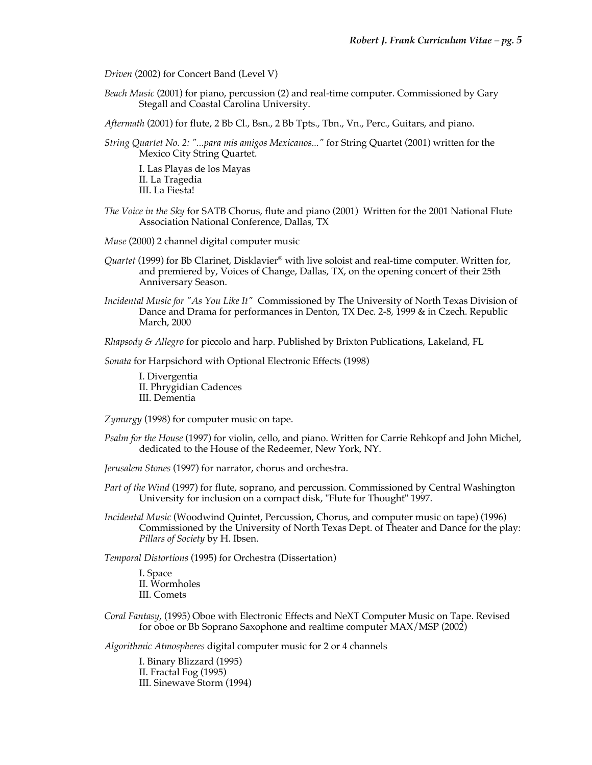*Driven* (2002) for Concert Band (Level V)

*Beach Music* (2001) for piano, percussion (2) and real-time computer. Commissioned by Gary Stegall and Coastal Carolina University.

*Aftermath* (2001) for flute, 2 Bb Cl., Bsn., 2 Bb Tpts., Tbn., Vn., Perc., Guitars, and piano.

*String Quartet No. 2: "...para mis amigos Mexicanos..."* for String Quartet (2001) written for the Mexico City String Quartet.

I. Las Playas de los Mayas II. La Tragedia III. La Fiesta!

- *The Voice in the Sky* for SATB Chorus, flute and piano (2001) Written for the 2001 National Flute Association National Conference, Dallas, TX
- *Muse* (2000) 2 channel digital computer music
- *Quartet* (1999) for Bb Clarinet, Disklavier® with live soloist and real-time computer. Written for, and premiered by, Voices of Change, Dallas, TX, on the opening concert of their 25th Anniversary Season.
- *Incidental Music for "As You Like It"* Commissioned by The University of North Texas Division of Dance and Drama for performances in Denton, TX Dec. 2-8, 1999 & in Czech. Republic March, 2000
- *Rhapsody & Allegro* for piccolo and harp. Published by Brixton Publications, Lakeland, FL

*Sonata* for Harpsichord with Optional Electronic Effects (1998)

I. Divergentia II. Phrygidian Cadences III. Dementia

*Zymurgy* (1998) for computer music on tape.

- *Psalm for the House* (1997) for violin, cello, and piano. Written for Carrie Rehkopf and John Michel, dedicated to the House of the Redeemer, New York, NY.
- *Jerusalem Stones* (1997) for narrator, chorus and orchestra.
- *Part of the Wind* (1997) for flute, soprano, and percussion. Commissioned by Central Washington University for inclusion on a compact disk, "Flute for Thought" 1997.
- *Incidental Music* (Woodwind Quintet, Percussion, Chorus, and computer music on tape) (1996) Commissioned by the University of North Texas Dept. of Theater and Dance for the play: *Pillars of Society* by H. Ibsen.

*Temporal Distortions* (1995) for Orchestra (Dissertation)

I. Space II. Wormholes III. Comets

*Coral Fantasy*, (1995) Oboe with Electronic Effects and NeXT Computer Music on Tape. Revised for oboe or Bb Soprano Saxophone and realtime computer MAX/MSP (2002)

*Algorithmic Atmospheres* digital computer music for 2 or 4 channels

I. Binary Blizzard (1995) II. Fractal Fog (1995) III. Sinewave Storm (1994)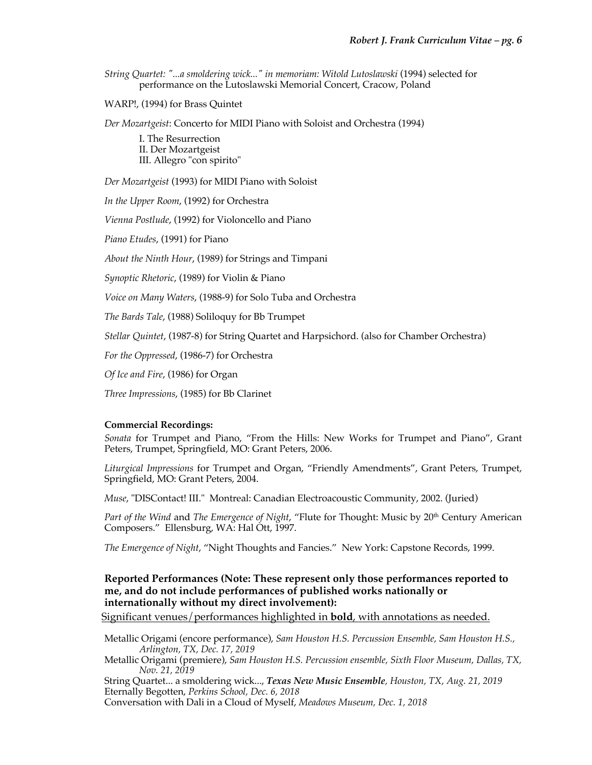*String Quartet: "...a smoldering wick..." in memoriam: Witold Lutoslawski* (1994) selected for performance on the Lutoslawski Memorial Concert, Cracow, Poland

WARP!, (1994) for Brass Quintet

*Der Mozartgeist*: Concerto for MIDI Piano with Soloist and Orchestra (1994)

I. The Resurrection II. Der Mozartgeist III. Allegro "con spirito"

*Der Mozartgeist* (1993) for MIDI Piano with Soloist

*In the Upper Room*, (1992) for Orchestra

*Vienna Postlude*, (1992) for Violoncello and Piano

*Piano Etudes*, (1991) for Piano

*About the Ninth Hour*, (1989) for Strings and Timpani

*Synoptic Rhetoric*, (1989) for Violin & Piano

*Voice on Many Waters*, (1988-9) for Solo Tuba and Orchestra

*The Bards Tale*, (1988) Soliloquy for Bb Trumpet

*Stellar Quintet*, (1987-8) for String Quartet and Harpsichord. (also for Chamber Orchestra)

*For the Oppressed*, (1986-7) for Orchestra

*Of Ice and Fire*, (1986) for Organ

*Three Impressions*, (1985) for Bb Clarinet

### **Commercial Recordings:**

*Sonata* for Trumpet and Piano, "From the Hills: New Works for Trumpet and Piano", Grant Peters, Trumpet, Springfield, MO: Grant Peters, 2006.

*Liturgical Impressions* for Trumpet and Organ, "Friendly Amendments", Grant Peters, Trumpet, Springfield, MO: Grant Peters, 2004.

*Muse*, "DISContact! III." Montreal: Canadian Electroacoustic Community, 2002. (Juried)

*Part of the Wind* and *The Emergence of Night,* "Flute for Thought: Music by 20<sup>th</sup> Century American Composers." Ellensburg, WA: Hal Ott, 1997.

*The Emergence of Night*, "Night Thoughts and Fancies." New York: Capstone Records, 1999.

# **Reported Performances (Note: These represent only those performances reported to me, and do not include performances of published works nationally or internationally without my direct involvement):**

Significant venues/performances highlighted in **bold**, with annotations as needed.

Metallic Origami (encore performance), *Sam Houston H.S. Percussion Ensemble, Sam Houston H.S., Arlington, TX, Dec. 17, 2019*

Metallic Origami (premiere), *Sam Houston H.S. Percussion ensemble, Sixth Floor Museum, Dallas, TX, Nov. 21, 2019*

String Quartet... a smoldering wick..., *Texas New Music Ensemble, Houston, TX, Aug. 21, 2019* Eternally Begotten, *Perkins School, Dec. 6, 2018*

Conversation with Dali in a Cloud of Myself, *Meadows Museum, Dec. 1, 2018*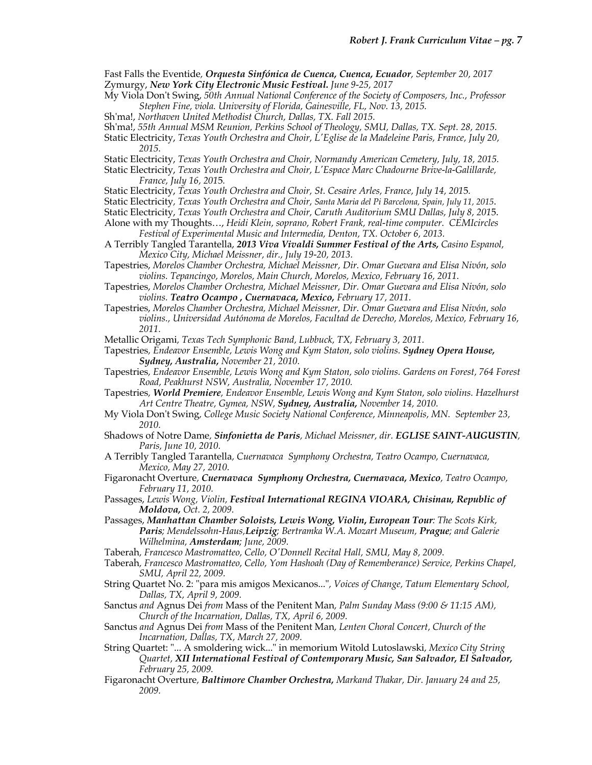Fast Falls the Eventide*, Orquesta Sinfónica de Cuenca, Cuenca, Ecuador, September 20, 2017* Zymurgy, *New York City Electronic Music Festival. June 9-25, 2017*

- My Viola Don't Swing, *50th Annual National Conference of the Society of Composers, Inc., Professor Stephen Fine, viola. University of Florida, Gainesville, FL, Nov. 13, 2015.*
- Sh'ma!, *Northaven United Methodist Church, Dallas, TX. Fall 2015.*
- Sh'ma!, *55th Annual MSM Reunion, Perkins School of Theology, SMU, Dallas, TX. Sept. 28, 2015.*

Static Electricity, *Texas Youth Orchestra and Choir, L'Eglise de la Madeleine Paris, France, July 20, 2015.*

- Static Electricity, *Texas Youth Orchestra and Choir, Normandy American Cemetery, July, 18, 2015.*
- Static Electricity, *Texas Youth Orchestra and Choir, L'Espace Marc Chadourne Brive-la-Galillarde, France, July 16, 201*5*.*
- Static Electricity, *Texas Youth Orchestra and Choir, St. Cesaire Arles, France, July 14, 201*5*.*
- Static Electricity*, Texas Youth Orchestra and Choir, Santa Maria del Pi Barcelona, Spain, July 11, 2015*.
- Static Electricity, *Texas Youth Orchestra and Choir, Caruth Auditorium SMU Dallas, July 8, 201*5.
- Alone with my Thoughts…, *Heidi Klein, soprano, Robert Frank, real-time computer. CEMIcircles Festival of Experimental Music and Intermedia, Denton, TX. October 6, 2013.*
- A Terribly Tangled Tarantella, *2013 Viva Vivaldi Summer Festival of the Arts, Casino Espanol, Mexico City, Michael Meissner, dir., July 19-20, 2013.*
- Tapestries, *Morelos Chamber Orchestra, Michael Meissner, Dir. Omar Guevara and Elisa Nivón, solo violins. Tepancingo, Morelos, Main Church, Morelos, Mexico, February 16, 2011.*
- Tapestries, *Morelos Chamber Orchestra, Michael Meissner, Dir. Omar Guevara and Elisa Nivón, solo violins. Teatro Ocampo , Cuernavaca, Mexico, February 17, 2011.*
- Tapestries, *Morelos Chamber Orchestra, Michael Meissner, Dir. Omar Guevara and Elisa Nivón, solo violins., Universidad Autónoma de Morelos, Facultad de Derecho, Morelos, Mexico, February 16, 2011.*

Metallic Origami*, Texas Tech Symphonic Band, Lubbuck, TX, February 3, 2011.*

- Tapestries*, Endeavor Ensemble, Lewis Wong and Kym Staton, solo violins. Sydney Opera House, Sydney, Australia, November 21, 2010.*
- Tapestries*, Endeavor Ensemble, Lewis Wong and Kym Staton, solo violins. Gardens on Forest, 764 Forest Road, Peakhurst NSW, Australia, November 17, 2010.*
- Tapestries*, World Premiere, Endeavor Ensemble, Lewis Wong and Kym Staton, solo violins. Hazelhurst Art Centre Theatre, Gymea, NSW, Sydney, Australia, November 14, 2010.*
- My Viola Don't Swing*, College Music Society National Conference, Minneapolis, MN. September 23, 2010.*
- Shadows of Notre Dame*, Sinfonietta de Paris, Michael Meissner, dir. EGLISE SAINT-AUGUSTIN, Paris, June 10, 2010.*
- A Terribly Tangled Tarantella*, Cuernavaca Symphony Orchestra, Teatro Ocampo, Cuernavaca, Mexico, May 27, 2010.*
- Figaronacht Overture*, Cuernavaca Symphony Orchestra, Cuernavaca, Mexico, Teatro Ocampo, February 11, 2010.*
- Passages, *Lewis Wong, Violin, Festival International REGINA VIOARA, Chisinau, Republic of Moldova, Oct. 2, 2009.*
- Passages, *Manhattan Chamber Soloists, Lewis Wong, Violin***,** *European Tour: The Scots Kirk, Paris; Mendelssohn-Haus,Leipzig; Bertramka W.A. Mozart Museum, Prague; and Galerie Wilhelmina, Amsterdam; June, 2009.*
- Taberah*, Francesco Mastromatteo, Cello, O'Donnell Recital Hall, SMU, May 8, 2009.*
- Taberah*, Francesco Mastromatteo, Cello, Yom Hashoah (Day of Rememberance) Service, Perkins Chapel, SMU, April 22, 2009.*
- String Quartet No. 2: "para mis amigos Mexicanos..."*, Voices of Change, Tatum Elementary School, Dallas, TX, April 9, 2009.*
- Sanctus *and* Agnus Dei *from* Mass of the Penitent Man*, Palm Sunday Mass (9:00 & 11:15 AM), Church of the Incarnation, Dallas, TX, April 6, 2009.*
- Sanctus *and* Agnus Dei *from* Mass of the Penitent Man*, Lenten Choral Concert, Church of the Incarnation, Dallas, TX, March 27, 2009.*
- String Quartet: "... A smoldering wick..." in memorium Witold Lutoslawski*, Mexico City String Quartet, XII International Festival of Contemporary Music, San Salvador, El Salvador, February 25, 2009.*
- Figaronacht Overture*, Baltimore Chamber Orchestra, Markand Thakar, Dir. January 24 and 25, 2009.*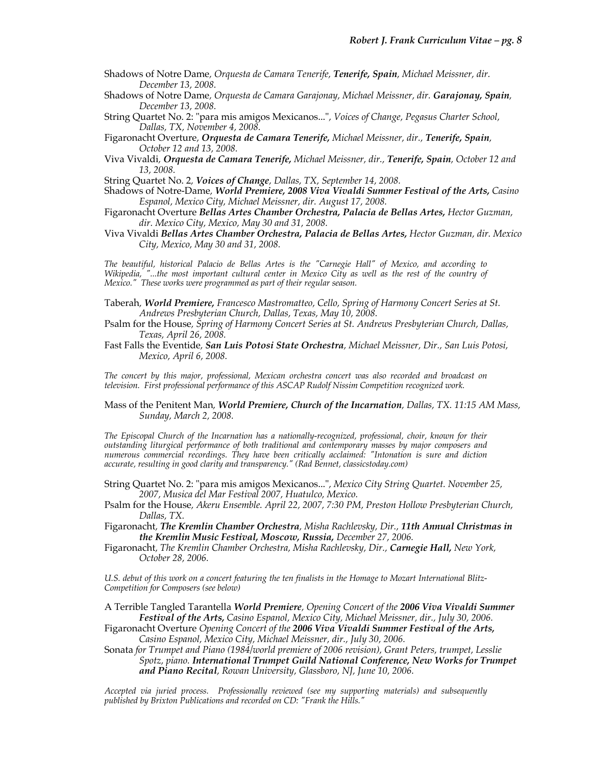- Shadows of Notre Dame*, Orquesta de Camara Tenerife, Tenerife, Spain, Michael Meissner, dir. December 13, 2008.*
- Shadows of Notre Dame*, Orquesta de Camara Garajonay, Michael Meissner, dir. Garajonay, Spain, December 13, 2008.*
- String Quartet No. 2: "para mis amigos Mexicanos..."*, Voices of Change, Pegasus Charter School, Dallas, TX, November 4, 2008.*
- Figaronacht Overture*, Orquesta de Camara Tenerife, Michael Meissner, dir., Tenerife, Spain, October 12 and 13, 2008.*
- Viva Vivaldi*, Orquesta de Camara Tenerife, Michael Meissner, dir., Tenerife, Spain, October 12 and 13, 2008.*
- String Quartet No. 2*, Voices of Change, Dallas, TX, September 14, 2008.*
- Shadows of Notre-Dame*, World Premiere, 2008 Viva Vivaldi Summer Festival of the Arts, Casino Espanol, Mexico City, Michael Meissner, dir. August 17, 2008.*
- Figaronacht Overture *Bellas Artes Chamber Orchestra, Palacia de Bellas Artes, Hector Guzman, dir. Mexico City, Mexico, May 30 and 31, 2008.*
- Viva Vivaldi *Bellas Artes Chamber Orchestra, Palacia de Bellas Artes, Hector Guzman, dir. Mexico City, Mexico, May 30 and 31, 2008.*

*The beautiful, historical Palacio de Bellas Artes is the "Carnegie Hall" of Mexico, and according to Wikipedia, "...the most important cultural center in Mexico City as well as the rest of the country of Mexico." These works were programmed as part of their regular season.*

- Taberah*, World Premiere, Francesco Mastromatteo, Cello, Spring of Harmony Concert Series at St. Andrews Presbyterian Church, Dallas, Texas, May 10, 2008.*
- Psalm for the House*, Spring of Harmony Concert Series at St. Andrews Presbyterian Church, Dallas, Texas, April 26, 2008.*
- Fast Falls the Eventide*, San Luis Potosi State Orchestra, Michael Meissner, Dir., San Luis Potosi, Mexico, April 6, 2008.*

*The concert by this major, professional, Mexican orchestra concert was also recorded and broadcast on television. First professional performance of this ASCAP Rudolf Nissim Competition recognized work.*

Mass of the Penitent Man*, World Premiere, Church of the Incarnation, Dallas, TX. 11:15 AM Mass, Sunday, March 2, 2008.*

*The Episcopal Church of the Incarnation has a nationally-recognized, professional, choir, known for their outstanding liturgical performance of both traditional and contemporary masses by major composers and numerous commercial recordings. They have been critically acclaimed: "Intonation is sure and diction accurate, resulting in good clarity and transparency." (Rad Bennet, classicstoday.com)*

String Quartet No. 2: "para mis amigos Mexicanos..."*, Mexico City String Quartet. November 25, 2007, Musica del Mar Festival 2007, Huatulco, Mexico.*

Psalm for the House*, Akeru Ensemble. April 22, 2007, 7:30 PM, Preston Hollow Presbyterian Church, Dallas, TX.* 

Figaronacht*, The Kremlin Chamber Orchestra, Misha Rachlevsky, Dir., 11th Annual Christmas in the Kremlin Music Festival, Moscow, Russia, December 27, 2006.*

Figaronacht*, The Kremlin Chamber Orchestra, Misha Rachlevsky, Dir., Carnegie Hall, New York, October 28, 2006.*

*U.S. debut of this work on a concert featuring the ten finalists in the Homage to Mozart International Blitz-Competition for Composers (see below)*

A Terrible Tangled Tarantella *World Premiere, Opening Concert of the 2006 Viva Vivaldi Summer Festival of the Arts, Casino Espanol, Mexico City, Michael Meissner, dir., July 30, 2006.*

Figaronacht Overture *Opening Concert of the 2006 Viva Vivaldi Summer Festival of the Arts, Casino Espanol, Mexico City, Michael Meissner, dir., July 30, 2006.*

Sonata *for Trumpet and Piano (1984/world premiere of 2006 revision), Grant Peters, trumpet, Lesslie Spotz, piano. International Trumpet Guild National Conference, New Works for Trumpet and Piano Recital, Rowan University, Glassboro, NJ, June 10, 2006.*

*Accepted via juried process. Professionally reviewed (see my supporting materials) and subsequently published by Brixton Publications and recorded on CD: "Frank the Hills."*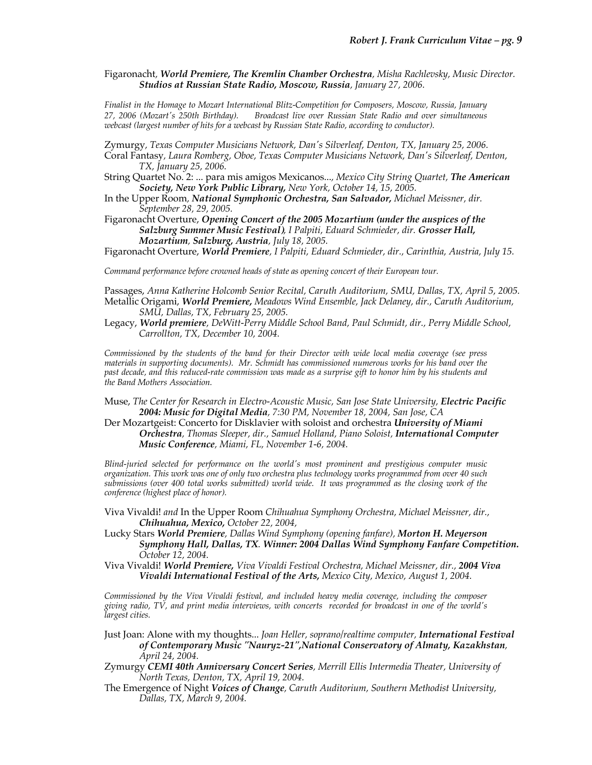Figaronacht*, World Premiere, The Kremlin Chamber Orchestra, Misha Rachlevsky, Music Director. Studios at Russian State Radio, Moscow, Russia, January 27, 2006.*

*Finalist in the Homage to Mozart International Blitz-Competition for Composers, Moscow, Russia, January 27, 2006 (Mozart's 250th Birthday). Broadcast live over Russian State Radio and over simultaneous webcast (largest number of hits for a webcast by Russian State Radio, according to conductor).*

Zymurgy*, Texas Computer Musicians Network, Dan's Silverleaf, Denton, TX, January 25, 2006.*

Coral Fantasy*, Laura Romberg, Oboe, Texas Computer Musicians Network, Dan's Silverleaf, Denton, TX, January 25, 2006.*

- String Quartet No. 2: ... para mis amigos Mexicanos...*, Mexico City String Quartet, The American Society, New York Public Library, New York, October 14, 15, 2005.*
- In the Upper Room*, National Symphonic Orchestra, San Salvador, Michael Meissner, dir. September 28, 29, 2005.*

Figaronacht Overture, *Opening Concert of the 2005 Mozartium (under the auspices of the Salzburg Summer Music Festival), I Palpiti, Eduard Schmieder, dir. Grosser Hall, Mozartium, Salzburg, Austria, July 18, 2005.*

Figaronacht Overture, *World Premiere, I Palpiti, Eduard Schmieder, dir., Carinthia, Austria, July 15.*

*Command performance before crowned heads of state as opening concert of their European tour.*

Passages, *Anna Katherine Holcomb Senior Recital, Caruth Auditorium, SMU, Dallas, TX, April 5, 2005.* Metallic Origami, *World Premiere, Meadows Wind Ensemble, Jack Delaney, dir., Caruth Auditorium, SMU, Dallas, TX, February 25, 2005.*

Legacy, *World premiere, DeWitt-Perry Middle School Band, Paul Schmidt, dir., Perry Middle School, Carrollton, TX, December 10, 2004.*

*Commissioned by the students of the band for their Director with wide local media coverage (see press materials in supporting documents). Mr. Schmidt has commissioned numerous works for his band over the past decade, and this reduced-rate commission was made as a surprise gift to honor him by his students and the Band Mothers Association.*

- Muse, *The Center for Research in Electro-Acoustic Music, San Jose State University, Electric Pacific 2004: Music for Digital Media, 7:30 PM, November 18, 2004, San Jose, CA*
- Der Mozartgeist: Concerto for Disklavier with soloist and orchestra *University of Miami Orchestra, Thomas Sleeper, dir., Samuel Holland, Piano Soloist, International Computer Music Conference, Miami, FL, November 1-6, 2004.*

*Blind-juried selected for performance on the world's most prominent and prestigious computer music organization. This work was one of only two orchestra plus technology works programmed from over 40 such submissions (over 400 total works submitted) world wide. It was programmed as the closing work of the conference (highest place of honor).*

- Viva Vivaldi! *and* In the Upper Room *Chihuahua Symphony Orchestra, Michael Meissner, dir., Chihuahua, Mexico, October 22, 2004,*
- Lucky Stars *World Premiere, Dallas Wind Symphony (opening fanfare), Morton H. Meyerson Symphony Hall, Dallas, TX. Winner: 2004 Dallas Wind Symphony Fanfare Competition. October 12, 2004.*
- Viva Vivaldi! *World Premiere, Viva Vivaldi Festival Orchestra, Michael Meissner, dir., 2004 Viva Vivaldi International Festival of the Arts, Mexico City, Mexico, August 1, 2004.*

*Commissioned by the Viva Vivaldi festival, and included heavy media coverage, including the composer giving radio, TV, and print media interviews, with concerts recorded for broadcast in one of the world's largest cities.*

Just Joan: Alone with my thoughts... *Joan Heller, soprano/realtime computer, International Festival of Contemporary Music "Nauryz-21",National Conservatory of Almaty, Kazakhstan, April 24, 2004.*

Zymurgy *CEMI 40th Anniversary Concert Series, Merrill Ellis Intermedia Theater, University of North Texas, Denton, TX, April 19, 2004.*

The Emergence of Night *Voices of Change, Caruth Auditorium, Southern Methodist University, Dallas, TX, March 9, 2004.*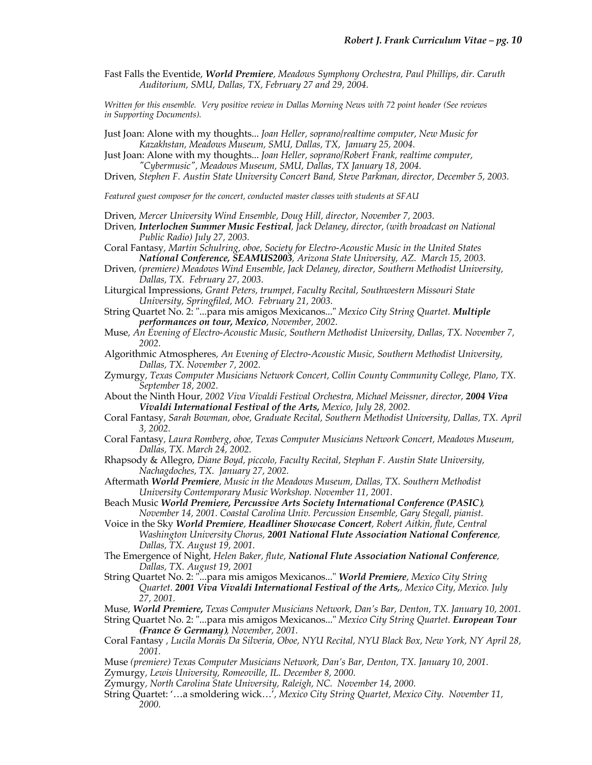Fast Falls the Eventide, *World Premiere, Meadows Symphony Orchestra, Paul Phillips, dir. Caruth Auditorium, SMU, Dallas, TX, February 27 and 29, 2004.*

*Written for this ensemble. Very positive review in Dallas Morning News with 72 point header (See reviews in Supporting Documents).*

Just Joan: Alone with my thoughts... *Joan Heller, soprano/realtime computer, New Music for Kazakhstan, Meadows Museum, SMU, Dallas, TX, January 25, 2004.*

Just Joan: Alone with my thoughts... *Joan Heller, soprano/Robert Frank, realtime computer, "Cybermusic", Meadows Museum, SMU, Dallas, TX January 18, 2004.*

Driven*, Stephen F. Austin State University Concert Band, Steve Parkman, director, December 5, 2003.*

*Featured guest composer for the concert, conducted master classes with students at SFAU*

Driven*, Mercer University Wind Ensemble, Doug Hill, director, November 7, 2003.*

Driven*, Interlochen Summer Music Festival, Jack Delaney, director, (with broadcast on National Public Radio) July 27, 2003.*

Coral Fantasy*, Martin Schulring, oboe, Society for Electro-Acoustic Music in the United States National Conference, SEAMUS2003, Arizona State University, AZ. March 15, 2003.*

Driven*, (premiere) Meadows Wind Ensemble, Jack Delaney, director, Southern Methodist University, Dallas, TX. February 27, 2003.*

Liturgical Impressions*, Grant Peters, trumpet, Faculty Recital, Southwestern Missouri State University, Springfiled, MO. February 21, 2003.*

String Quartet No. 2: "...para mis amigos Mexicanos..." *Mexico City String Quartet. Multiple performances on tour, Mexico, November, 2002.*

Muse*, An Evening of Electro-Acoustic Music, Southern Methodist University, Dallas, TX. November 7, 2002.*

- Algorithmic Atmospheres*, An Evening of Electro-Acoustic Music, Southern Methodist University, Dallas, TX. November 7, 2002.*
- Zymurgy*, Texas Computer Musicians Network Concert, Collin County Community College, Plano, TX. September 18, 2002.*

About the Ninth Hour*, 2002 Viva Vivaldi Festival Orchestra, Michael Meissner, director, 2004 Viva Vivaldi International Festival of the Arts, Mexico, July 28, 2002.*

- Coral Fantasy*, Sarah Bowman, oboe, Graduate Recital, Southern Methodist University, Dallas, TX. April 3, 2002.*
- Coral Fantasy*, Laura Romberg, oboe, Texas Computer Musicians Network Concert, Meadows Museum, Dallas, TX. March 24, 2002.*

Rhapsody & Allegro, *Diane Boyd, piccolo, Faculty Recital, Stephan F. Austin State University, Nachagdoches, TX. January 27, 2002.*

Aftermath *World Premiere, Music in the Meadows Museum, Dallas, TX. Southern Methodist University Contemporary Music Workshop. November 11, 2001.*

Beach Music *World Premiere, Percussive Arts Society International Conference (PASIC), November 14, 2001. Coastal Carolina Univ. Percussion Ensemble, Gary Stegall, pianist.*

Voice in the Sky *World Premiere, Headliner Showcase Concert, Robert Aitkin, flute, Central Washington University Chorus, 2001 National Flute Association National Conference, Dallas, TX. August 19, 2001.* 

The Emergence of Night*, Helen Baker, flute, National Flute Association National Conference, Dallas, TX. August 19, 2001*

String Quartet No. 2: "...para mis amigos Mexicanos..." *World Premiere, Mexico City String Quartet. 2001 Viva Vivaldi International Festival of the Arts,, Mexico City, Mexico. July 27, 2001.*

Muse*, World Premiere, Texas Computer Musicians Network, Dan's Bar, Denton, TX. January 10, 2001.*

String Quartet No. 2: "...para mis amigos Mexicanos..." *Mexico City String Quartet. European Tour (France & Germany), November, 2001.*

- Coral Fantasy *, Lucila Morais Da Silveria, Oboe, NYU Recital, NYU Black Box, New York, NY April 28, 2001.*
- Muse *(premiere) Texas Computer Musicians Network, Dan's Bar, Denton, TX. January 10, 2001.*
- Zymurgy*, Lewis University, Romeoville, IL. December 8, 2000.*
- Zymurgy*, North Carolina State University, Raleigh, NC. November 14, 2000.*
- String Quartet: '…a smoldering wick…'*, Mexico City String Quartet, Mexico City. November 11, 2000.*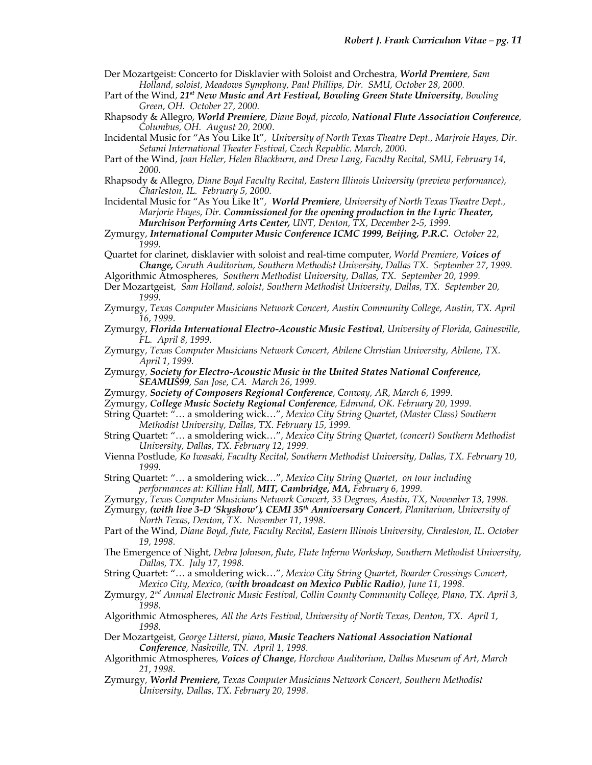- Der Mozartgeist: Concerto for Disklavier with Soloist and Orchestra*, World Premiere, Sam Holland, soloist, Meadows Symphony, Paul Phillips, Dir. SMU, October 28, 2000.*
- Part of the Wind*, 21st New Music and Art Festival, Bowling Green State University, Bowling Green, OH. October 27, 2000.*
- Rhapsody & Allegro, *World Premiere, Diane Boyd, piccolo, National Flute Association Conference, Columbus, OH. August 20, 2000*.
- Incidental Music for "As You Like It"*, University of North Texas Theatre Dept., Marjroie Hayes, Dir. Setami International Theater Festival, Czech Republic. March, 2000.*
- Part of the Wind*, Joan Heller, Helen Blackburn, and Drew Lang, Faculty Recital, SMU, February 14, 2000.*
- Rhapsody & Allegro*, Diane Boyd Faculty Recital, Eastern Illinois University (preview performance), Charleston, IL. February 5, 2000.*

Incidental Music for "As You Like It"*, World Premiere, University of North Texas Theatre Dept., Marjorie Hayes, Dir. Commissioned for the opening production in the Lyric Theater, Murchison Performing Arts Center, UNT, Denton, TX, December 2-5, 1999.*

- Zymurgy, *International Computer Music Conference ICMC 1999, Beijing, P.R.C. October 22, 1999.*
- Quartet for clarinet, disklavier with soloist and real-time computer, *World Premiere, Voices of Change, Caruth Auditorium, Southern Methodist University, Dallas TX. September 27, 1999.*
- Algorithmic Atmospheres*, Southern Methodist University, Dallas, TX. September 20, 1999.*

Der Mozartgeist*, Sam Holland, soloist, Southern Methodist University, Dallas, TX. September 20, 1999.*

- Zymurgy*, Texas Computer Musicians Network Concert, Austin Community College, Austin, TX. April 16, 1999.*
- Zymurgy*, Florida International Electro-Acoustic Music Festival, University of Florida, Gainesville, FL. April 8, 1999.*
- Zymurgy*, Texas Computer Musicians Network Concert, Abilene Christian University, Abilene, TX. April 1, 1999.*
- Zymurgy*, Society for Electro-Acoustic Music in the United States National Conference, SEAMUS99, San Jose, CA. March 26, 1999.*
- Zymurgy*, Society of Composers Regional Conference, Conway, AR, March 6, 1999.*
- Zymurgy*, College Music Society Regional Conference, Edmund, OK. February 20, 1999.*

String Quartet: "… a smoldering wick…"*, Mexico City String Quartet, (Master Class) Southern Methodist University, Dallas, TX. February 15, 1999.*

- String Quartet: "… a smoldering wick…"*, Mexico City String Quartet, (concert) Southern Methodist University, Dallas, TX. February 12, 1999.*
- Vienna Postlude*, Ko Iwasaki, Faculty Recital, Southern Methodist University, Dallas, TX. February 10, 1999.*
- String Quartet: "… a smoldering wick…"*, Mexico City String Quartet, on tour including performances at: Killian Hall, MIT, Cambridge, MA, February 6, 1999.*

Zymurgy*, (with live 3-D 'Skyshow'), CEMI 35th Anniversary Concert, Planitarium, University of North Texas, Denton, TX. November 11, 1998.*

- Part of the Wind*, Diane Boyd, flute, Faculty Recital, Eastern Illinois University, Chraleston, IL. October 19, 1998.*
- The Emergence of Night*, Debra Johnson, flute, Flute Inferno Workshop, Southern Methodist University, Dallas, TX. July 17, 1998.*

String Quartet: "… a smoldering wick…"*, Mexico City String Quartet, Boarder Crossings Concert, Mexico City, Mexico, (with broadcast on Mexico Public Radio), June 11, 1998.*

- Zymurgy*, 2nd Annual Electronic Music Festival, Collin County Community College, Plano, TX. April 3, 1998.*
- Algorithmic Atmospheres*, All the Arts Festival, University of North Texas, Denton, TX. April 1, 1998.*
- Der Mozartgeist*, George Litterst, piano, Music Teachers National Association National Conference, Nashville, TN. April 1, 1998.*
- Algorithmic Atmospheres*, Voices of Change, Horchow Auditorium, Dallas Museum of Art, March 21, 1998.*
- Zymurgy*, World Premiere, Texas Computer Musicians Network Concert, Southern Methodist University, Dallas, TX. February 20, 1998.*

Zymurgy*, Texas Computer Musicians Network Concert, 33 Degrees, Austin, TX, November 13, 1998.*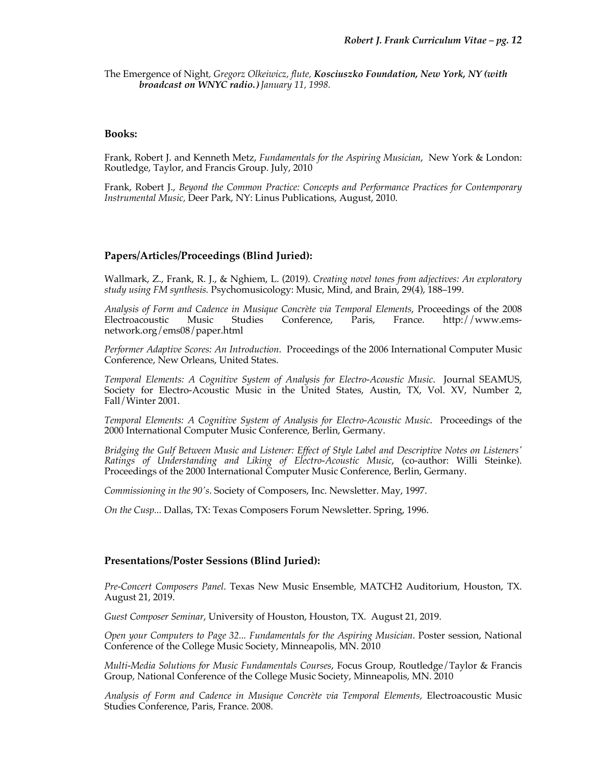The Emergence of Night*, Gregorz Olkeiwicz, flute, Kosciuszko Foundation, New York, NY (with broadcast on WNYC radio.) January 11, 1998.*

### **Books:**

Frank, Robert J. and Kenneth Metz, *Fundamentals for the Aspiring Musician*, New York & London: Routledge, Taylor, and Francis Group. July, 2010

Frank, Robert J., *Beyond the Common Practice: Concepts and Performance Practices for Contemporary Instrumental Music,* Deer Park, NY: Linus Publications, August, 2010.

# **Papers/Articles/Proceedings (Blind Juried):**

Wallmark, Z., Frank, R. J., & Nghiem, L. (2019). *Creating novel tones from adjectives: An exploratory study using FM synthesis.* Psychomusicology: Music, Mind, and Brain, 29(4), 188–199.

*Analysis of Form and Cadence in Musique Concrète via Temporal Elements*, Proceedings of the 2008 Electroacoustic Music Studies Conference, Paris, France. http://www.emsnetwork.org/ems08/paper.html

*Performer Adaptive Scores: An Introduction*. Proceedings of the 2006 International Computer Music Conference, New Orleans, United States.

*Temporal Elements: A Cognitive System of Analysis for Electro-Acoustic Music*. Journal SEAMUS, Society for Electro-Acoustic Music in the United States, Austin, TX, Vol. XV, Number 2, Fall/Winter 2001.

*Temporal Elements: A Cognitive System of Analysis for Electro-Acoustic Music*. Proceedings of the 2000 International Computer Music Conference, Berlin, Germany.

*Bridging the Gulf Between Music and Listener: Effect of Style Label and Descriptive Notes on Listeners' Ratings of Understanding and Liking of Electro-Acoustic Music*, (co-author: Willi Steinke). Proceedings of the 2000 International Computer Music Conference, Berlin, Germany.

*Commissioning in the 90's*. Society of Composers, Inc. Newsletter. May, 1997.

*On the Cusp...* Dallas, TX: Texas Composers Forum Newsletter. Spring, 1996.

#### **Presentations/Poster Sessions (Blind Juried):**

*Pre-Concert Composers Panel*. Texas New Music Ensemble, MATCH2 Auditorium, Houston, TX. August 21, 2019.

*Guest Composer Seminar*, University of Houston, Houston, TX. August 21, 2019.

*Open your Computers to Page 32... Fundamentals for the Aspiring Musician*. Poster session, National Conference of the College Music Society, Minneapolis, MN. 2010

*Multi-Media Solutions for Music Fundamentals Courses*, Focus Group, Routledge/Taylor & Francis Group, National Conference of the College Music Society, Minneapolis, MN. 2010

*Analysis of Form and Cadence in Musique Concrète via Temporal Elements,* Electroacoustic Music Studies Conference, Paris, France. 2008.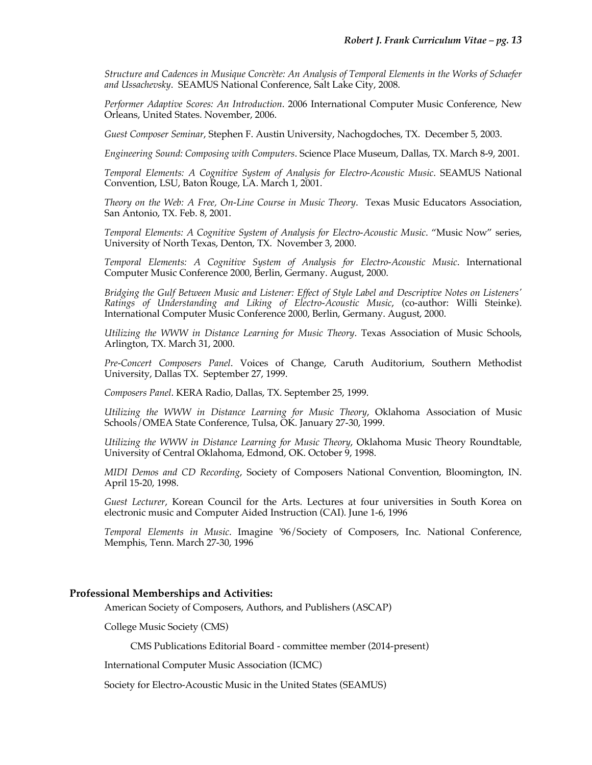*Structure and Cadences in Musique Concrète: An Analysis of Temporal Elements in the Works of Schaefer and Ussachevsky*. SEAMUS National Conference, Salt Lake City, 2008.

*Performer Adaptive Scores: An Introduction*. 2006 International Computer Music Conference, New Orleans, United States. November, 2006.

*Guest Composer Seminar*, Stephen F. Austin University, Nachogdoches, TX. December 5, 2003.

*Engineering Sound: Composing with Computers*. Science Place Museum, Dallas, TX. March 8-9, 2001.

*Temporal Elements: A Cognitive System of Analysis for Electro-Acoustic Music*. SEAMUS National Convention, LSU, Baton Rouge, LA. March 1, 2001.

*Theory on the Web: A Free, On-Line Course in Music Theory*. Texas Music Educators Association, San Antonio, TX. Feb. 8, 2001.

*Temporal Elements: A Cognitive System of Analysis for Electro-Acoustic Music*. "Music Now" series, University of North Texas, Denton, TX. November 3, 2000.

*Temporal Elements: A Cognitive System of Analysis for Electro-Acoustic Music*. International Computer Music Conference 2000, Berlin, Germany. August, 2000.

*Bridging the Gulf Between Music and Listener: Effect of Style Label and Descriptive Notes on Listeners' Ratings of Understanding and Liking of Electro-Acoustic Music*, (co-author: Willi Steinke). International Computer Music Conference 2000, Berlin, Germany. August, 2000.

*Utilizing the WWW in Distance Learning for Music Theory*. Texas Association of Music Schools, Arlington, TX. March 31, 2000.

*Pre-Concert Composers Panel*. Voices of Change, Caruth Auditorium, Southern Methodist University, Dallas TX. September 27, 1999.

*Composers Panel*. KERA Radio, Dallas, TX. September 25, 1999.

*Utilizing the WWW in Distance Learning for Music Theory*, Oklahoma Association of Music Schools/OMEA State Conference, Tulsa, OK. January 27-30, 1999.

*Utilizing the WWW in Distance Learning for Music Theory*, Oklahoma Music Theory Roundtable, University of Central Oklahoma, Edmond, OK. October 9, 1998.

*MIDI Demos and CD Recording*, Society of Composers National Convention, Bloomington, IN. April 15-20, 1998.

*Guest Lecturer*, Korean Council for the Arts. Lectures at four universities in South Korea on electronic music and Computer Aided Instruction (CAI). June 1-6, 1996

*Temporal Elements in Music*. Imagine '96/Society of Composers, Inc. National Conference, Memphis, Tenn. March 27-30, 1996

# **Professional Memberships and Activities:**

American Society of Composers, Authors, and Publishers (ASCAP)

College Music Society (CMS)

CMS Publications Editorial Board - committee member (2014-present)

International Computer Music Association (ICMC)

Society for Electro-Acoustic Music in the United States (SEAMUS)